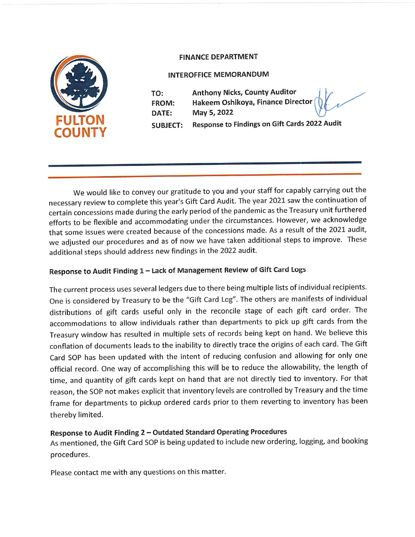

## FINANCE DEPARTMENT

## INTEROFFICE MEMORANDUM

<u> 1989 - De Bernard Bernard Bernard Bernard Bernard Bernard Bernard Bernard Bernard Bernard Bernard Bernard Bernard Bernard Bernard Bernard Bernard Bernard Bernard Bernard Bernard Bernard Bernard Bernard Bernard Bernard Be</u>

and the contract of the contract of the contract of the contract of the contract of the contract of the contract of the contract of the contract of the contract of the contract of the contract of the contract of the contra

TO: Anthony Nicks, County Auditor FROM: Hakeem Oshikoya, Finance Director DATE: May 5, 2022 SUBJECT: Response to Findings on Gift Cards 2022 Audit

We would like to convey our gratitude to you and your staff for capably carrying out the necessary review to complete this year's Gift Card Audit. The year 2021 saw the continuation of certain concessions made during the early period of the pandemic as the Treasury unit furthered efforts to be flexible and accommodating under the circumstances. However, we acknowledge that some issues were created because of the concessions made. As a result of the 2021 audit, we adjusted our procedures and as of now we have taken additional steps to improve. These additional steps should address new findings in the 2022 audit.

## Response to Audit Finding 1 — Lack of Management Review of Gift Card Logs

The current process uses several ledgers due to there being multiple lists of individual recipients. One is considered by Treasury to be the "Gift Card Log". The others are manifests of individual distributions of gift cards useful only in the reconcile stage of each gift card order. The accommodations to allow individuals rather than departments to pick up gift cards from the Treasury window has resulted in multiple sets of records being kept on hand. We believe this conflation of documents leads to the inability to directly trace the origins of each card. The Gift Card SOP has been updated with the intent of reducing confusion and allowing for only one official record. One way of accomplishing this will be to reduce the allowability, the length of time, and quantity of gift cards kept on hand that are not directly tied to inventory. For that reason, the SOP not makes explicit that inventory levels are controlled by Treasury and the time frame for departments to pickup ordered cards prior to them reverting to inventory has been thereby limited.

## Response to Audit Finding 2 — Outdated Standard Operating Procedures

As mentioned, the Gift Card SOP is being updated to include new ordering, logging, and booking procedures.

Please contact me with any questions on this matter.